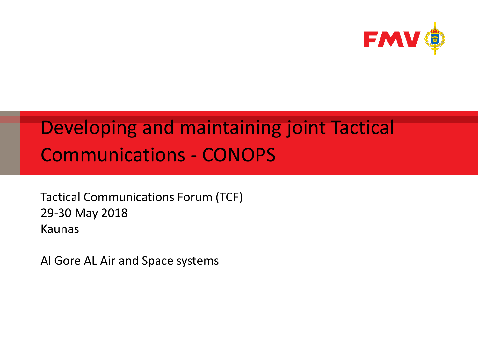

#### Developing and maintaining joint Tactical Communications - CONOPS

Tactical Communications Forum (TCF) 29-30 May 2018 Kaunas

Al Gore AL Air and Space systems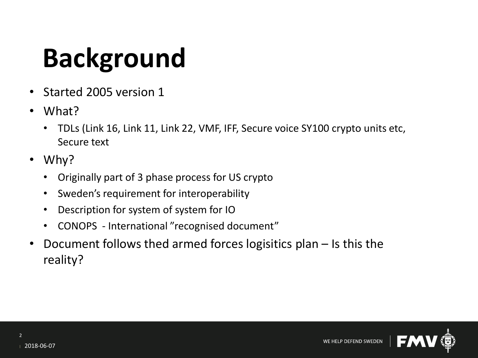## **Background**

- Started 2005 version 1
- What?
	- TDLs (Link 16, Link 11, Link 22, VMF, IFF, Secure voice SY100 crypto units etc, Secure text
- Why?
	- Originally part of 3 phase process for US crypto
	- Sweden's requirement for interoperability
	- Description for system of system for IO
	- CONOPS International "recognised document"
- Document follows thed armed forces logisitics plan Is this the reality?

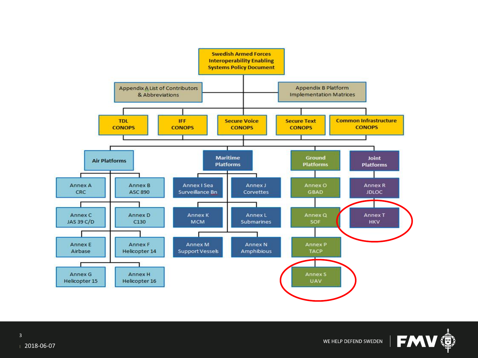

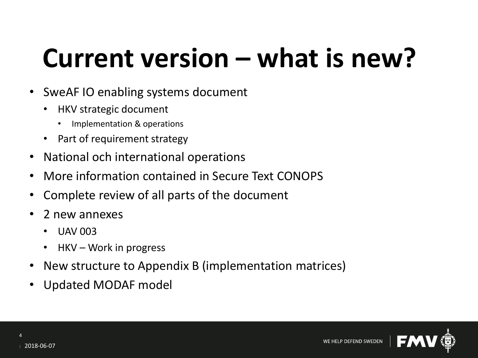### **Current version – what is new?**

- SweAF IO enabling systems document
	- HKV strategic document
		- Implementation & operations
	- Part of requirement strategy
- National och international operations
- More information contained in Secure Text CONOPS
- Complete review of all parts of the document
- 2 new annexes
	- UAV 003
	- $HKV Work$  in progress
- New structure to Appendix B (implementation matrices)
- Updated MODAF model

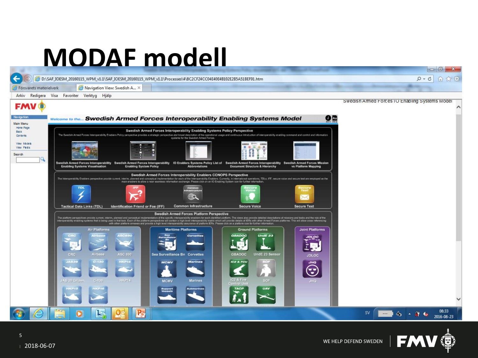### **MODAF modell**





 $-6$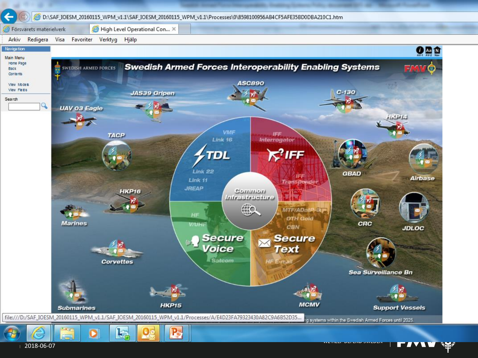

<u>LIAZZ</u>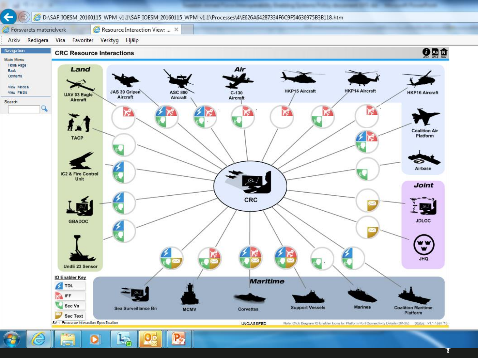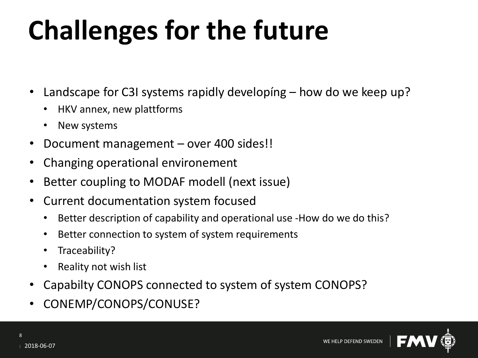# **Challenges for the future**

- Landscape for C3I systems rapidly developíng how do we keep up?
	- HKV annex, new plattforms
	- New systems
- Document management over 400 sides!!
- Changing operational environement
- Better coupling to MODAF modell (next issue)
- Current documentation system focused
	- Better description of capability and operational use -How do we do this?
	- Better connection to system of system requirements
	- Traceability?
	- Reality not wish list
- Capabilty CONOPS connected to system of system CONOPS?
- CONEMP/CONOPS/CONUSE?